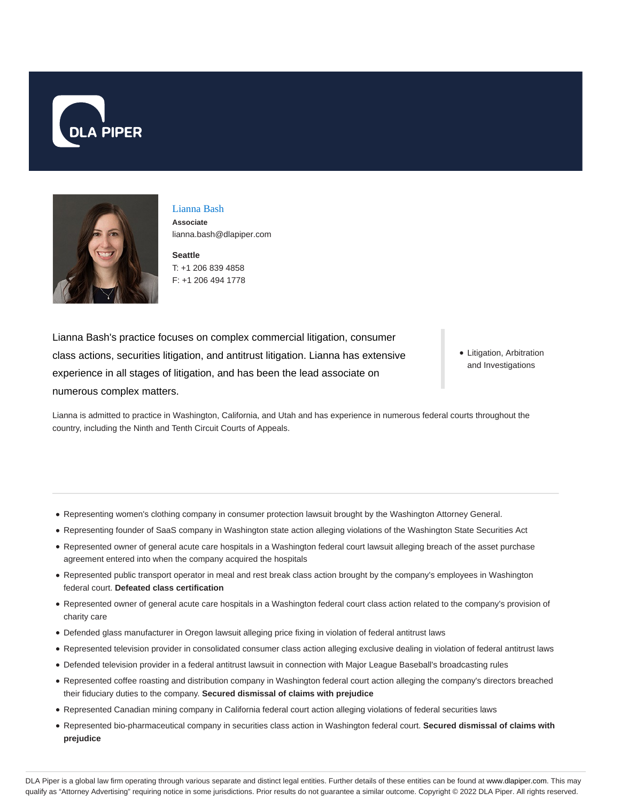



Lianna Bash **Associate** lianna.bash@dlapiper.com

**Seattle** T: +1 206 839 4858 F: +1 206 494 1778

Lianna Bash's practice focuses on complex commercial litigation, consumer class actions, securities litigation, and antitrust litigation. Lianna has extensive experience in all stages of litigation, and has been the lead associate on numerous complex matters.

• Litigation, Arbitration and Investigations

Lianna is admitted to practice in Washington, California, and Utah and has experience in numerous federal courts throughout the country, including the Ninth and Tenth Circuit Courts of Appeals.

- Representing women's clothing company in consumer protection lawsuit brought by the Washington Attorney General.
- Representing founder of SaaS company in Washington state action alleging violations of the Washington State Securities Act
- Represented owner of general acute care hospitals in a Washington federal court lawsuit alleging breach of the asset purchase agreement entered into when the company acquired the hospitals
- Represented public transport operator in meal and rest break class action brought by the company's employees in Washington federal court. **Defeated class certification**
- Represented owner of general acute care hospitals in a Washington federal court class action related to the company's provision of charity care
- Defended glass manufacturer in Oregon lawsuit alleging price fixing in violation of federal antitrust laws
- Represented television provider in consolidated consumer class action alleging exclusive dealing in violation of federal antitrust laws
- Defended television provider in a federal antitrust lawsuit in connection with Major League Baseball's broadcasting rules
- Represented coffee roasting and distribution company in Washington federal court action alleging the company's directors breached their fiduciary duties to the company. **Secured dismissal of claims with prejudice**
- Represented Canadian mining company in California federal court action alleging violations of federal securities laws
- Represented bio-pharmaceutical company in securities class action in Washington federal court. **Secured dismissal of claims with prejudice**